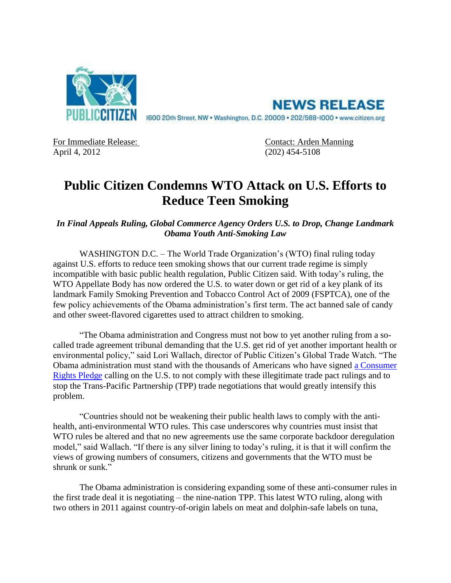

**NEWS RELEASE** 1600 20th Street, NW . Washington, D.C. 20009 . 202/588-1000 . www.citizen.org

April 4, 2012 (202) 454-5108

For Immediate Release: Contact: Arden Manning

## **Public Citizen Condemns WTO Attack on U.S. Efforts to Reduce Teen Smoking**

*In Final Appeals Ruling, Global Commerce Agency Orders U.S. to Drop, Change Landmark Obama Youth Anti-Smoking Law*

WASHINGTON D.C. – The World Trade Organization's (WTO) final ruling today against U.S. efforts to reduce teen smoking shows that our current trade regime is simply incompatible with basic public health regulation, Public Citizen said. With today's ruling, the WTO Appellate Body has now ordered the U.S. to water down or get rid of a key plank of its landmark Family Smoking Prevention and Tobacco Control Act of 2009 (FSPTCA), one of the few policy achievements of the Obama administration's first term. The act banned sale of candy and other sweet-flavored cigarettes used to attract children to smoking.

"The Obama administration and Congress must not bow to yet another ruling from a socalled trade agreement tribunal demanding that the U.S. get rid of yet another important health or environmental policy," said Lori Wallach, director of Public Citizen's Global Trade Watch. "The Obama administration must stand with the thousands of Americans who have signed [a Consumer](http://bit.ly/GS1qlk)  [Rights Pledge](http://bit.ly/GS1qlk) calling on the U.S. to not comply with these illegitimate trade pact rulings and to stop the Trans-Pacific Partnership (TPP) trade negotiations that would greatly intensify this problem.

"Countries should not be weakening their public health laws to comply with the antihealth, anti-environmental WTO rules. This case underscores why countries must insist that WTO rules be altered and that no new agreements use the same corporate backdoor deregulation model," said Wallach. "If there is any silver lining to today's ruling, it is that it will confirm the views of growing numbers of consumers, citizens and governments that the WTO must be shrunk or sunk."

The Obama administration is considering expanding some of these anti-consumer rules in the first trade deal it is negotiating – the nine-nation TPP. This latest WTO ruling, along with two others in 2011 against country-of-origin labels on meat and dolphin-safe labels on tuna,